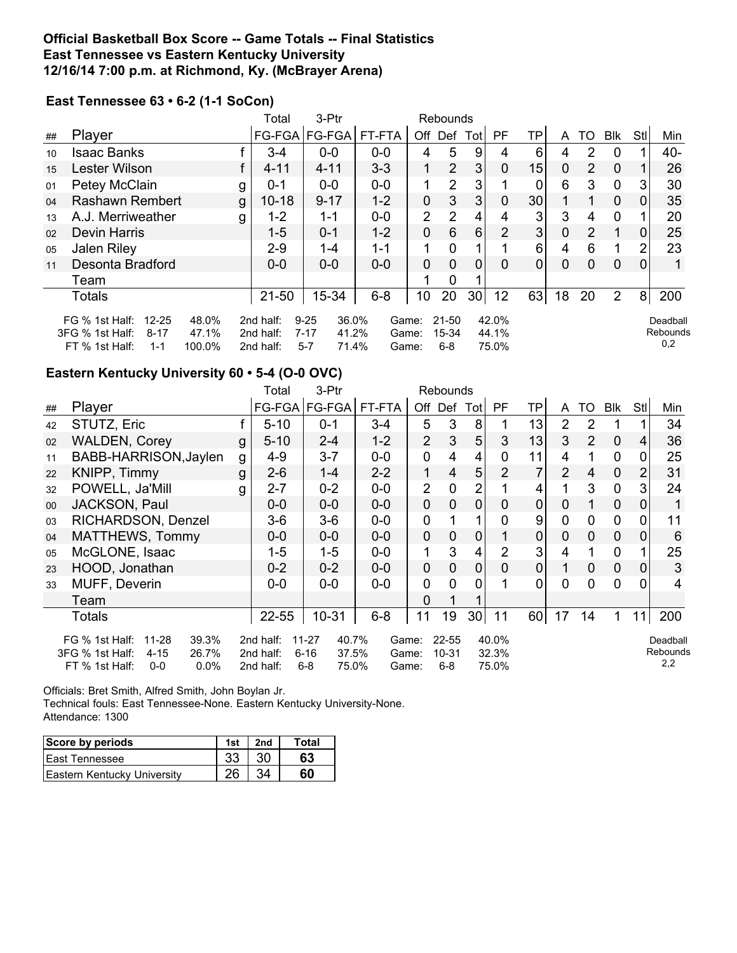## **Official Basketball Box Score -- Game Totals -- Final Statistics East Tennessee vs Eastern Kentucky University 12/16/14 7:00 p.m. at Richmond, Ky. (McBrayer Arena)**

# **East Tennessee 63 • 6-2 (1-1 SoCon)**

|                                                                                                                                                                                                                                                                                                             |                        |   | Total     | 3-Ptr           | Rebounds |              |                |                 |                             |                |    |                           |                |                |        |
|-------------------------------------------------------------------------------------------------------------------------------------------------------------------------------------------------------------------------------------------------------------------------------------------------------------|------------------------|---|-----------|-----------------|----------|--------------|----------------|-----------------|-----------------------------|----------------|----|---------------------------|----------------|----------------|--------|
| ##                                                                                                                                                                                                                                                                                                          | Player                 |   |           | FG-FGA   FG-FGA | FT-FTA   | Off          | Def            | Totl            | <b>PF</b>                   | TP             | A  | TO                        | <b>Blk</b>     | Stl            | Min    |
| 10                                                                                                                                                                                                                                                                                                          | <b>Isaac Banks</b>     |   | $3 - 4$   | $0-0$           | $0-0$    | 4            | 5              | 9               | 4                           | 6              | 4  | 2                         | $\Omega$       |                | $40 -$ |
| 15                                                                                                                                                                                                                                                                                                          | Lester Wilson          |   | $4 - 11$  | $4 - 11$        | $3 - 3$  | 1            | $\overline{2}$ | 3               | 0                           | 15             | 0  | $\mathbf{2}^{\mathsf{I}}$ | $\overline{0}$ |                | 26     |
| 01                                                                                                                                                                                                                                                                                                          | Petey McClain          | g | $0 - 1$   | $0 - 0$         | $0-0$    | 1            | $\mathcal{P}$  | 3               |                             | 0              | 6  | 3                         | 0              | 3              | 30     |
| 04                                                                                                                                                                                                                                                                                                          | <b>Rashawn Rembert</b> | g | $10 - 18$ | $9 - 17$        | $1 - 2$  | $\mathbf 0$  | 3              | 3 <sub>l</sub>  | 0                           | 30             |    |                           | $\mathbf 0$    | 0              | 35     |
| 13                                                                                                                                                                                                                                                                                                          | A.J. Merriweather      | g | $1 - 2$   | 1-1             | $0-0$    | 2            | 2              | 4               | 4                           | 3              | 3  | 4                         | $\Omega$       |                | 20     |
| 02                                                                                                                                                                                                                                                                                                          | <b>Devin Harris</b>    |   | $1 - 5$   | $0 - 1$         | $1 - 2$  | $\mathbf{0}$ | 6              | 6               | $\overline{2}$              | 3 <sup>1</sup> | 0  | $\overline{2}$            |                | 0              | 25     |
| 05                                                                                                                                                                                                                                                                                                          | <b>Jalen Riley</b>     |   | $2 - 9$   | 1-4             | $1 - 1$  |              | $\Omega$       |                 |                             | 6              | 4  | 6                         |                | $\overline{2}$ | 23     |
| 11                                                                                                                                                                                                                                                                                                          | Desonta Bradford       |   | $0-0$     | $0 - 0$         | $0-0$    | 0            | $\Omega$       | 0               | $\Omega$                    | $\overline{0}$ | 0  | 0                         | $\overline{0}$ | 0              |        |
|                                                                                                                                                                                                                                                                                                             | Team                   |   |           |                 |          |              | 0              |                 |                             |                |    |                           |                |                |        |
|                                                                                                                                                                                                                                                                                                             | <b>Totals</b>          |   | $21 - 50$ | 15-34           | $6 - 8$  | 10           | 20             | 30 <sup>2</sup> | 12                          | 63             | 18 | 20                        | 2              | 8              | 200    |
| $12 - 25$<br>$9 - 25$<br>36.0%<br>$21 - 50$<br>42.0%<br>FG % 1st Half:<br>48.0%<br>2nd half:<br>Game:<br>3FG % 1st Half:<br>47.1%<br>$7 - 17$<br>41.2%<br>15-34<br>$8 - 17$<br>2nd half:<br>44.1%<br>Game:<br>$5 - 7$<br>FT % 1st Half:<br>71.4%<br>$6 - 8$<br>75.0%<br>100.0%<br>1-1<br>2nd half:<br>Game: |                        |   |           |                 |          |              |                |                 | Deadball<br>Rebounds<br>0,2 |                |    |                           |                |                |        |

## **Eastern Kentucky University 60 • 5-4 (O-0 OVC)**

|    |                                                                                                                  |   | Total                               | 3-Ptr                                                       |                         | Rebounds       |                               |                 |                         |    |                |                |             |     |                             |
|----|------------------------------------------------------------------------------------------------------------------|---|-------------------------------------|-------------------------------------------------------------|-------------------------|----------------|-------------------------------|-----------------|-------------------------|----|----------------|----------------|-------------|-----|-----------------------------|
| ## | Player                                                                                                           |   |                                     | FG-FGA   FG-FGA                                             | FT-FTA                  |                | Off Def                       | Totl            | <b>PF</b>               | TP | A              | TO             | Blk         | StI | Min                         |
| 42 | STUTZ, Eric                                                                                                      |   | $5 - 10$                            | $0 - 1$                                                     | $3 - 4$                 | 5              | 3                             | 8               |                         | 13 | 2              | 2              |             |     | 34                          |
| 02 | <b>WALDEN, Corey</b>                                                                                             | g | $5 - 10$                            | $2 - 4$                                                     | $1 - 2$                 | $\overline{2}$ | 3                             | 5               | 3                       | 13 | 3              | $\overline{2}$ | $\mathbf 0$ | 4   | 36                          |
| 11 | BABB-HARRISON, Jaylen                                                                                            | g | $4 - 9$                             | $3 - 7$                                                     | $0-0$                   | 0              | 4                             | 4               | 0                       | 11 | 4              |                | $\mathbf 0$ | 0   | 25                          |
| 22 | KNIPP, Timmy                                                                                                     | g | $2 - 6$                             | $1 - 4$                                                     | $2 - 2$                 | 1              | 4                             | 5               | $\overline{2}$          | 7  | $\overline{2}$ | 4              | $\mathbf 0$ | 2   | 31                          |
| 32 | POWELL, Ja'Mill                                                                                                  | g | $2 - 7$                             | $0 - 2$                                                     | $0-0$                   | 2              | 0                             | $\overline{2}$  |                         | 4  |                | 3              | $\mathbf 0$ | 3   | 24                          |
| 00 | <b>JACKSON, Paul</b>                                                                                             |   | $0-0$                               | $0 - 0$                                                     | $0 - 0$                 | $\mathbf{0}$   | $\mathbf{0}$                  | $\overline{0}$  | 0                       | 0  | 0              | 1              | $\mathbf 0$ | 0   |                             |
| 03 | RICHARDSON, Denzel                                                                                               |   | $3-6$                               | $3-6$                                                       | $0-0$                   | 0              |                               |                 | 0                       | 9  | $\overline{0}$ | $\mathbf 0$    | $\mathbf 0$ | 0   | 11                          |
| 04 | <b>MATTHEWS, Tommy</b>                                                                                           |   | $0-0$                               | $0-0$                                                       | $0 - 0$                 | $\mathbf 0$    | $\mathbf{0}$                  | 0               |                         | 0  | 0              | 0              | $\mathbf 0$ | 0   | 6                           |
| 05 | McGLONE, Isaac                                                                                                   |   | $1-5$                               | 1-5                                                         | $0-0$                   | 1              | 3                             | 4               | $\overline{2}$          | 3  | 4              |                | $\mathbf 0$ |     | 25                          |
| 23 | HOOD, Jonathan                                                                                                   |   | $0 - 2$                             | $0 - 2$                                                     | $0 - 0$                 | $\mathbf 0$    | $\mathbf{0}$                  | 0               | 0                       | 0  | $\mathbf{1}$   | 0              | $\mathbf 0$ | 0   | 3                           |
| 33 | MUFF, Deverin                                                                                                    |   | $0-0$                               | $0-0$                                                       | $0-0$                   | 0              | 0                             | 0               |                         | 0  | 0              | 0              | 0           | 0   | 4                           |
|    | Team                                                                                                             |   |                                     |                                                             |                         | 0              |                               |                 |                         |    |                |                |             |     |                             |
|    | Totals                                                                                                           |   | 22-55                               | $10 - 31$                                                   | $6 - 8$                 | 11             | 19                            | 30 <sup>1</sup> | 11                      | 60 | 17             | 14             | 1           | 11  | 200                         |
|    | 39.3%<br>FG % 1st Half:<br>11-28<br>3FG % 1st Half:<br>$4 - 15$<br>26.7%<br>FT % 1st Half:<br>$0.0\%$<br>$0 - 0$ |   | 2nd half:<br>2nd half:<br>2nd half: | 40.7%<br>$11 - 27$<br>$6 - 16$<br>37.5%<br>$6 - 8$<br>75.0% | Game:<br>Game:<br>Game: |                | $22 - 55$<br>10-31<br>$6 - 8$ |                 | 40.0%<br>32.3%<br>75.0% |    |                |                |             |     | Deadball<br>Rebounds<br>2,2 |

Officials: Bret Smith, Alfred Smith, John Boylan Jr.

Technical fouls: East Tennessee-None. Eastern Kentucky University-None. Attendance: 1300

| Score by periods            | 1st | 2nd | Total |
|-----------------------------|-----|-----|-------|
| <b>IEast Tennessee</b>      |     | 30  | 63    |
| Eastern Kentucky University | າຂ  | 34  | 60    |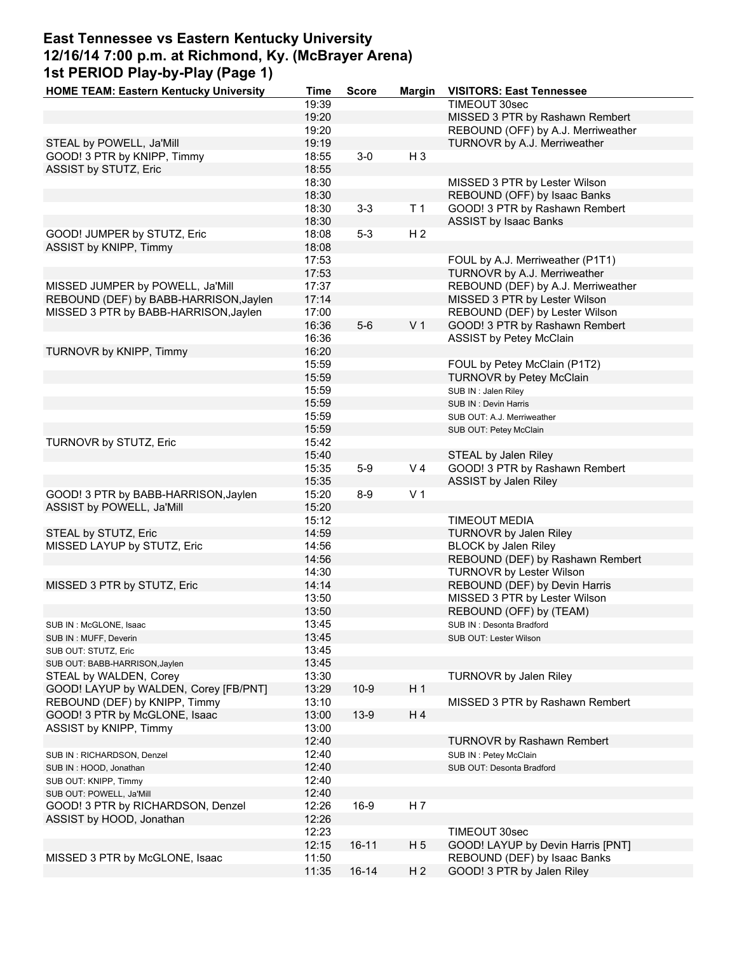# **East Tennessee vs Eastern Kentucky University 12/16/14 7:00 p.m. at Richmond, Ky. (McBrayer Arena) 1st PERIOD Play-by-Play (Page 1)**

| <b>HOME TEAM: Eastern Kentucky University</b> | Time  | <b>Score</b> | Margin         | <b>VISITORS: East Tennessee</b>    |
|-----------------------------------------------|-------|--------------|----------------|------------------------------------|
|                                               | 19:39 |              |                | TIMEOUT 30sec                      |
|                                               | 19:20 |              |                | MISSED 3 PTR by Rashawn Rembert    |
|                                               | 19:20 |              |                | REBOUND (OFF) by A.J. Merriweather |
| STEAL by POWELL, Ja'Mill                      | 19:19 |              |                | TURNOVR by A.J. Merriweather       |
| GOOD! 3 PTR by KNIPP, Timmy                   | 18:55 | $3-0$        | $H_3$          |                                    |
|                                               |       |              |                |                                    |
| ASSIST by STUTZ, Eric                         | 18:55 |              |                |                                    |
|                                               | 18:30 |              |                | MISSED 3 PTR by Lester Wilson      |
|                                               | 18:30 |              |                | REBOUND (OFF) by Isaac Banks       |
|                                               | 18:30 | $3 - 3$      | T <sub>1</sub> | GOOD! 3 PTR by Rashawn Rembert     |
|                                               | 18:30 |              |                | <b>ASSIST by Isaac Banks</b>       |
| GOOD! JUMPER by STUTZ, Eric                   | 18:08 | $5-3$        | H <sub>2</sub> |                                    |
| ASSIST by KNIPP, Timmy                        | 18:08 |              |                |                                    |
|                                               | 17:53 |              |                | FOUL by A.J. Merriweather (P1T1)   |
|                                               | 17:53 |              |                | TURNOVR by A.J. Merriweather       |
| MISSED JUMPER by POWELL, Ja'Mill              | 17:37 |              |                | REBOUND (DEF) by A.J. Merriweather |
|                                               |       |              |                |                                    |
| REBOUND (DEF) by BABB-HARRISON, Jaylen        | 17:14 |              |                | MISSED 3 PTR by Lester Wilson      |
| MISSED 3 PTR by BABB-HARRISON, Jaylen         | 17:00 |              |                | REBOUND (DEF) by Lester Wilson     |
|                                               | 16:36 | $5-6$        | V <sub>1</sub> | GOOD! 3 PTR by Rashawn Rembert     |
|                                               | 16:36 |              |                | <b>ASSIST by Petey McClain</b>     |
| TURNOVR by KNIPP, Timmy                       | 16:20 |              |                |                                    |
|                                               | 15:59 |              |                | FOUL by Petey McClain (P1T2)       |
|                                               | 15:59 |              |                | <b>TURNOVR by Petey McClain</b>    |
|                                               | 15:59 |              |                | SUB IN: Jalen Riley                |
|                                               | 15:59 |              |                | SUB IN: Devin Harris               |
|                                               |       |              |                |                                    |
|                                               | 15:59 |              |                | SUB OUT: A.J. Merriweather         |
|                                               | 15:59 |              |                | SUB OUT: Petey McClain             |
| TURNOVR by STUTZ, Eric                        | 15:42 |              |                |                                    |
|                                               | 15:40 |              |                | STEAL by Jalen Riley               |
|                                               | 15:35 | $5-9$        | V <sub>4</sub> | GOOD! 3 PTR by Rashawn Rembert     |
|                                               | 15:35 |              |                | ASSIST by Jalen Riley              |
| GOOD! 3 PTR by BABB-HARRISON, Jaylen          | 15:20 | $8-9$        | V <sub>1</sub> |                                    |
| ASSIST by POWELL, Ja'Mill                     | 15:20 |              |                |                                    |
|                                               | 15:12 |              |                | <b>TIMEOUT MEDIA</b>               |
|                                               |       |              |                |                                    |
| STEAL by STUTZ, Eric                          | 14:59 |              |                | TURNOVR by Jalen Riley             |
| MISSED LAYUP by STUTZ, Eric                   | 14:56 |              |                | <b>BLOCK by Jalen Riley</b>        |
|                                               | 14:56 |              |                | REBOUND (DEF) by Rashawn Rembert   |
|                                               | 14:30 |              |                | <b>TURNOVR by Lester Wilson</b>    |
| MISSED 3 PTR by STUTZ, Eric                   | 14:14 |              |                | REBOUND (DEF) by Devin Harris      |
|                                               | 13:50 |              |                | MISSED 3 PTR by Lester Wilson      |
|                                               | 13:50 |              |                | REBOUND (OFF) by (TEAM)            |
| SUB IN: McGLONE, Isaac                        | 13:45 |              |                | SUB IN: Desonta Bradford           |
|                                               | 13:45 |              |                | SUB OUT: Lester Wilson             |
| SUB IN: MUFF, Deverin                         | 13:45 |              |                |                                    |
| SUB OUT: STUTZ, Eric                          |       |              |                |                                    |
| SUB OUT: BABB-HARRISON, Jaylen                | 13:45 |              |                |                                    |
| STEAL by WALDEN, Corey                        | 13:30 |              |                | <b>TURNOVR by Jalen Riley</b>      |
| GOOD! LAYUP by WALDEN, Corey [FB/PNT]         | 13:29 | $10-9$       | H <sub>1</sub> |                                    |
| REBOUND (DEF) by KNIPP, Timmy                 | 13:10 |              |                | MISSED 3 PTR by Rashawn Rembert    |
| GOOD! 3 PTR by McGLONE, Isaac                 | 13:00 | $13-9$       | H <sub>4</sub> |                                    |
| ASSIST by KNIPP, Timmy                        | 13:00 |              |                |                                    |
|                                               | 12:40 |              |                | TURNOVR by Rashawn Rembert         |
| SUB IN: RICHARDSON, Denzel                    | 12:40 |              |                | SUB IN: Petey McClain              |
|                                               |       |              |                |                                    |
| SUB IN: HOOD, Jonathan                        | 12:40 |              |                | SUB OUT: Desonta Bradford          |
| SUB OUT: KNIPP, Timmy                         | 12:40 |              |                |                                    |
| SUB OUT: POWELL, Ja'Mill                      | 12:40 |              |                |                                    |
| GOOD! 3 PTR by RICHARDSON, Denzel             | 12:26 | $16-9$       | H 7            |                                    |
| ASSIST by HOOD, Jonathan                      | 12:26 |              |                |                                    |
|                                               | 12:23 |              |                | TIMEOUT 30sec                      |
|                                               | 12:15 | $16 - 11$    | H <sub>5</sub> | GOOD! LAYUP by Devin Harris [PNT]  |
| MISSED 3 PTR by McGLONE, Isaac                | 11:50 |              |                | REBOUND (DEF) by Isaac Banks       |
|                                               | 11:35 | $16 - 14$    | H <sub>2</sub> | GOOD! 3 PTR by Jalen Riley         |
|                                               |       |              |                |                                    |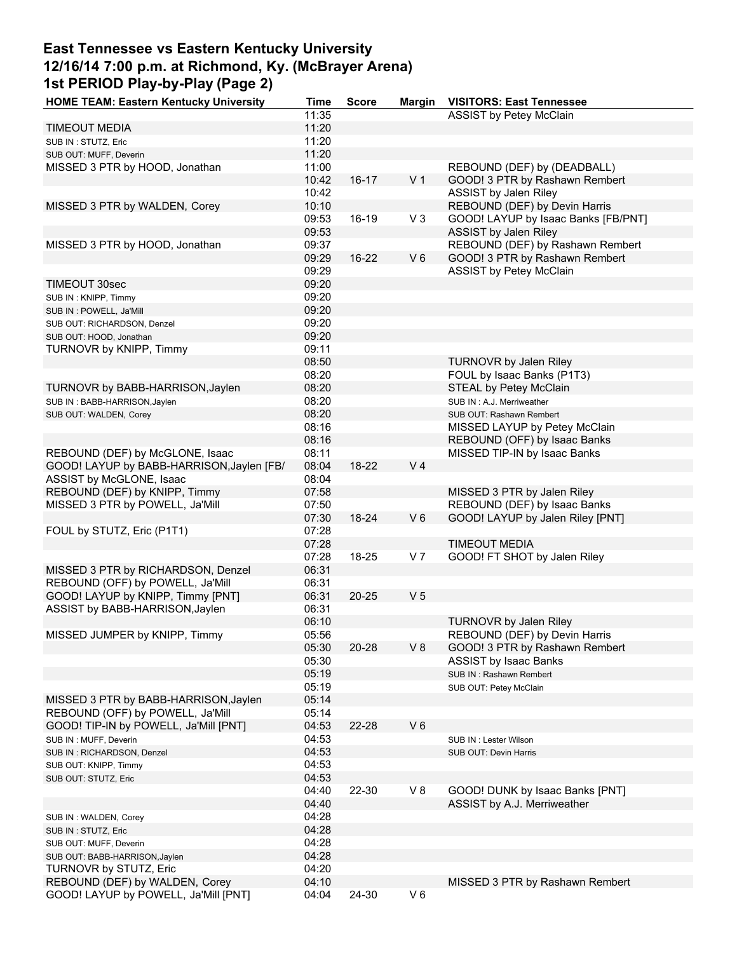# **East Tennessee vs Eastern Kentucky University 12/16/14 7:00 p.m. at Richmond, Ky. (McBrayer Arena) 1st PERIOD Play-by-Play (Page 2)**

| <b>HOME TEAM: Eastern Kentucky University</b> | Time           | <b>Score</b> |                | Margin VISITORS: East Tennessee                                 |
|-----------------------------------------------|----------------|--------------|----------------|-----------------------------------------------------------------|
|                                               | 11:35          |              |                | <b>ASSIST by Petey McClain</b>                                  |
| <b>TIMEOUT MEDIA</b>                          | 11:20          |              |                |                                                                 |
| SUB IN: STUTZ, Eric                           | 11:20          |              |                |                                                                 |
| SUB OUT: MUFF, Deverin                        | 11:20          |              |                |                                                                 |
| MISSED 3 PTR by HOOD, Jonathan                | 11:00          |              |                | REBOUND (DEF) by (DEADBALL)                                     |
|                                               | 10:42          | $16 - 17$    | V <sub>1</sub> | GOOD! 3 PTR by Rashawn Rembert                                  |
|                                               | 10:42          |              |                | ASSIST by Jalen Riley                                           |
| MISSED 3 PTR by WALDEN, Corey                 | 10:10          |              |                | REBOUND (DEF) by Devin Harris                                   |
|                                               | 09:53          | 16-19        | $V_3$          | GOOD! LAYUP by Isaac Banks [FB/PNT]                             |
|                                               | 09:53          |              |                | ASSIST by Jalen Riley                                           |
| MISSED 3 PTR by HOOD, Jonathan                | 09:37          |              |                | REBOUND (DEF) by Rashawn Rembert                                |
|                                               | 09:29          | 16-22        | $V_6$          | GOOD! 3 PTR by Rashawn Rembert                                  |
|                                               | 09:29          |              |                | ASSIST by Petey McClain                                         |
| TIMEOUT 30sec                                 | 09:20          |              |                |                                                                 |
| SUB IN: KNIPP, Timmy                          | 09:20          |              |                |                                                                 |
| SUB IN : POWELL, Ja'Mill                      | 09:20          |              |                |                                                                 |
| SUB OUT: RICHARDSON, Denzel                   | 09:20          |              |                |                                                                 |
| SUB OUT: HOOD, Jonathan                       | 09:20          |              |                |                                                                 |
| TURNOVR by KNIPP, Timmy                       | 09:11          |              |                |                                                                 |
|                                               | 08:50          |              |                | <b>TURNOVR by Jalen Riley</b>                                   |
|                                               | 08:20          |              |                | FOUL by Isaac Banks (P1T3)                                      |
| TURNOVR by BABB-HARRISON, Jaylen              | 08:20          |              |                | STEAL by Petey McClain                                          |
| SUB IN: BABB-HARRISON, Jaylen                 | 08:20          |              |                | SUB IN: A.J. Merriweather                                       |
| SUB OUT: WALDEN, Corey                        | 08:20          |              |                | SUB OUT: Rashawn Rembert                                        |
|                                               | 08:16          |              |                | MISSED LAYUP by Petey McClain                                   |
|                                               | 08:16          |              |                | REBOUND (OFF) by Isaac Banks                                    |
| REBOUND (DEF) by McGLONE, Isaac               | 08:11          |              |                | MISSED TIP-IN by Isaac Banks                                    |
| GOOD! LAYUP by BABB-HARRISON, Jaylen [FB/     | 08:04          | 18-22        | V <sub>4</sub> |                                                                 |
| ASSIST by McGLONE, Isaac                      | 08:04          |              |                |                                                                 |
| REBOUND (DEF) by KNIPP, Timmy                 | 07:58          |              |                | MISSED 3 PTR by Jalen Riley                                     |
| MISSED 3 PTR by POWELL, Ja'Mill               | 07:50          |              |                | REBOUND (DEF) by Isaac Banks                                    |
|                                               | 07:30          | 18-24        | $V_6$          | GOOD! LAYUP by Jalen Riley [PNT]                                |
| FOUL by STUTZ, Eric (P1T1)                    | 07:28          |              |                |                                                                 |
|                                               | 07:28          |              |                | <b>TIMEOUT MEDIA</b>                                            |
|                                               | 07:28          | 18-25        | V <sub>7</sub> | GOOD! FT SHOT by Jalen Riley                                    |
| MISSED 3 PTR by RICHARDSON, Denzel            | 06:31          |              |                |                                                                 |
| REBOUND (OFF) by POWELL, Ja'Mill              | 06:31          |              |                |                                                                 |
| GOOD! LAYUP by KNIPP, Timmy [PNT]             | 06:31          | $20 - 25$    | V <sub>5</sub> |                                                                 |
| ASSIST by BABB-HARRISON, Jaylen               | 06:31          |              |                |                                                                 |
|                                               | 06:10          |              |                | <b>TURNOVR by Jalen Riley</b>                                   |
| MISSED JUMPER by KNIPP, Timmy                 | 05:56          |              |                |                                                                 |
|                                               | 05:30          | 20-28        | V8             | REBOUND (DEF) by Devin Harris<br>GOOD! 3 PTR by Rashawn Rembert |
|                                               | 05:30          |              |                |                                                                 |
|                                               | 05:19          |              |                | <b>ASSIST by Isaac Banks</b><br>SUB IN: Rashawn Rembert         |
|                                               | 05:19          |              |                |                                                                 |
|                                               |                |              |                | SUB OUT: Petey McClain                                          |
| MISSED 3 PTR by BABB-HARRISON, Jaylen         | 05:14          |              |                |                                                                 |
| REBOUND (OFF) by POWELL, Ja'Mill              | 05:14          |              | $V_6$          |                                                                 |
| GOOD! TIP-IN by POWELL, Ja'Mill [PNT]         | 04:53<br>04:53 | 22-28        |                |                                                                 |
| SUB IN : MUFF, Deverin                        |                |              |                | SUB IN: Lester Wilson                                           |
| SUB IN: RICHARDSON, Denzel                    | 04:53          |              |                | SUB OUT: Devin Harris                                           |
| SUB OUT: KNIPP, Timmy                         | 04:53          |              |                |                                                                 |
| SUB OUT: STUTZ, Eric                          | 04:53          |              |                |                                                                 |
|                                               | 04:40          | 22-30        | V8             | GOOD! DUNK by Isaac Banks [PNT]                                 |
|                                               | 04:40          |              |                | ASSIST by A.J. Merriweather                                     |
| SUB IN : WALDEN, Corey                        | 04:28          |              |                |                                                                 |
| SUB IN: STUTZ, Eric                           | 04:28          |              |                |                                                                 |
| SUB OUT: MUFF, Deverin                        | 04:28          |              |                |                                                                 |
| SUB OUT: BABB-HARRISON, Jaylen                | 04:28          |              |                |                                                                 |
| TURNOVR by STUTZ, Eric                        | 04:20          |              |                |                                                                 |
| REBOUND (DEF) by WALDEN, Corey                | 04:10          |              |                | MISSED 3 PTR by Rashawn Rembert                                 |
| GOOD! LAYUP by POWELL, Ja'Mill [PNT]          | 04:04          | 24-30        | $V_6$          |                                                                 |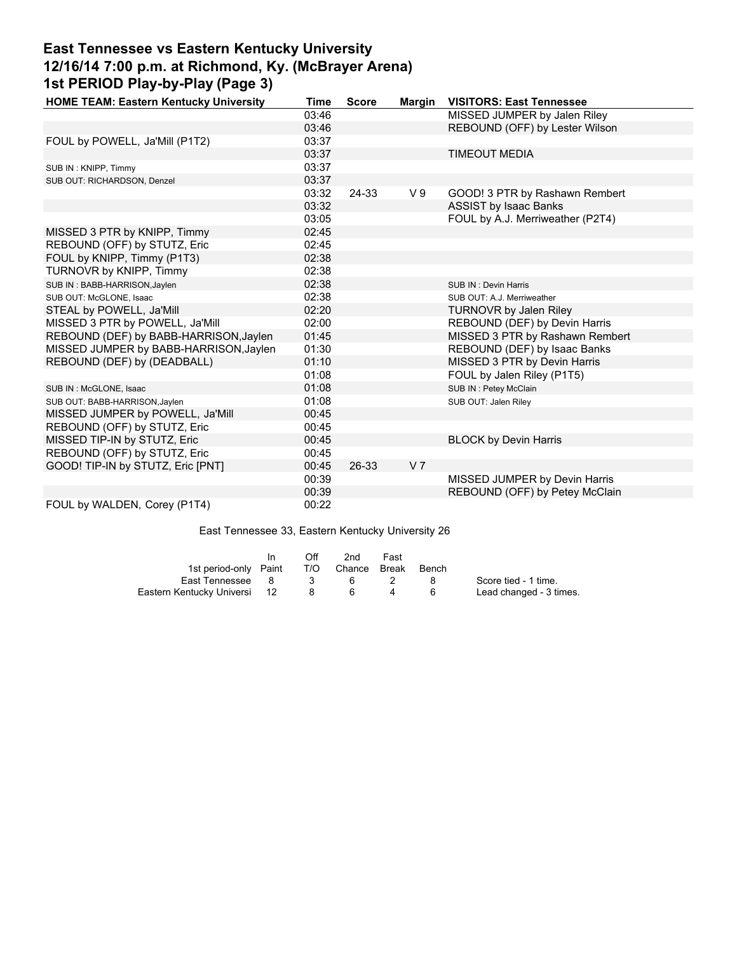# **East Tennessee vs Eastern Kentucky University 12/16/14 7:00 p.m. at Richmond, Ky. (McBrayer Arena) 1st PERIOD Play-by-Play (Page 3)**

| <b>HOME TEAM: Eastern Kentucky University</b> | <b>Time</b> | <b>Score</b> |                | Margin VISITORS: East Tennessee  |
|-----------------------------------------------|-------------|--------------|----------------|----------------------------------|
|                                               | 03:46       |              |                | MISSED JUMPER by Jalen Riley     |
|                                               | 03:46       |              |                | REBOUND (OFF) by Lester Wilson   |
| FOUL by POWELL, Ja'Mill (P1T2)                | 03:37       |              |                |                                  |
|                                               | 03:37       |              |                | <b>TIMEOUT MEDIA</b>             |
| SUB IN: KNIPP, Timmy                          | 03:37       |              |                |                                  |
| SUB OUT: RICHARDSON, Denzel                   | 03:37       |              |                |                                  |
|                                               | 03:32       | 24-33        | V <sub>9</sub> | GOOD! 3 PTR by Rashawn Rembert   |
|                                               | 03:32       |              |                | <b>ASSIST by Isaac Banks</b>     |
|                                               | 03:05       |              |                | FOUL by A.J. Merriweather (P2T4) |
| MISSED 3 PTR by KNIPP, Timmy                  | 02:45       |              |                |                                  |
| REBOUND (OFF) by STUTZ, Eric                  | 02:45       |              |                |                                  |
| FOUL by KNIPP, Timmy (P1T3)                   | 02:38       |              |                |                                  |
| TURNOVR by KNIPP, Timmy                       | 02:38       |              |                |                                  |
| SUB IN: BABB-HARRISON, Jaylen                 | 02:38       |              |                | SUB IN: Devin Harris             |
| SUB OUT: McGLONE, Isaac                       | 02:38       |              |                | SUB OUT: A.J. Merriweather       |
| STEAL by POWELL, Ja'Mill                      | 02:20       |              |                | <b>TURNOVR by Jalen Riley</b>    |
| MISSED 3 PTR by POWELL, Ja'Mill               | 02:00       |              |                | REBOUND (DEF) by Devin Harris    |
| REBOUND (DEF) by BABB-HARRISON, Jaylen        | 01:45       |              |                | MISSED 3 PTR by Rashawn Rembert  |
| MISSED JUMPER by BABB-HARRISON, Jaylen        | 01:30       |              |                | REBOUND (DEF) by Isaac Banks     |
| REBOUND (DEF) by (DEADBALL)                   | 01:10       |              |                | MISSED 3 PTR by Devin Harris     |
|                                               | 01:08       |              |                | FOUL by Jalen Riley (P1T5)       |
| SUB IN : McGLONE, Isaac                       | 01:08       |              |                | SUB IN: Petey McClain            |
| SUB OUT: BABB-HARRISON, Jaylen                | 01:08       |              |                | SUB OUT: Jalen Riley             |
| MISSED JUMPER by POWELL, Ja'Mill              | 00:45       |              |                |                                  |
| REBOUND (OFF) by STUTZ, Eric                  | 00:45       |              |                |                                  |
| MISSED TIP-IN by STUTZ, Eric                  | 00:45       |              |                | <b>BLOCK by Devin Harris</b>     |
| REBOUND (OFF) by STUTZ, Eric                  | 00:45       |              |                |                                  |
| GOOD! TIP-IN by STUTZ, Eric [PNT]             | 00:45       | 26-33        | V <sub>7</sub> |                                  |
|                                               | 00:39       |              |                | MISSED JUMPER by Devin Harris    |
|                                               | 00:39       |              |                | REBOUND (OFF) by Petey McClain   |
| FOUL by WALDEN, Corey (P1T4)                  | 00:22       |              |                |                                  |

East Tennessee 33, Eastern Kentucky University 26

|                              | In | Off            | 2nd              | Fast |       |                         |
|------------------------------|----|----------------|------------------|------|-------|-------------------------|
| 1st period-only Paint        |    |                | T/O Chance Break |      | Bench |                         |
| East Tennessee 8             |    | $\mathbf{3}$   | - 6              |      | -8    | Score tied - 1 time.    |
| Eastern Kentucky Universi 12 |    | 8 <sup>2</sup> |                  |      | 6     | Lead changed - 3 times. |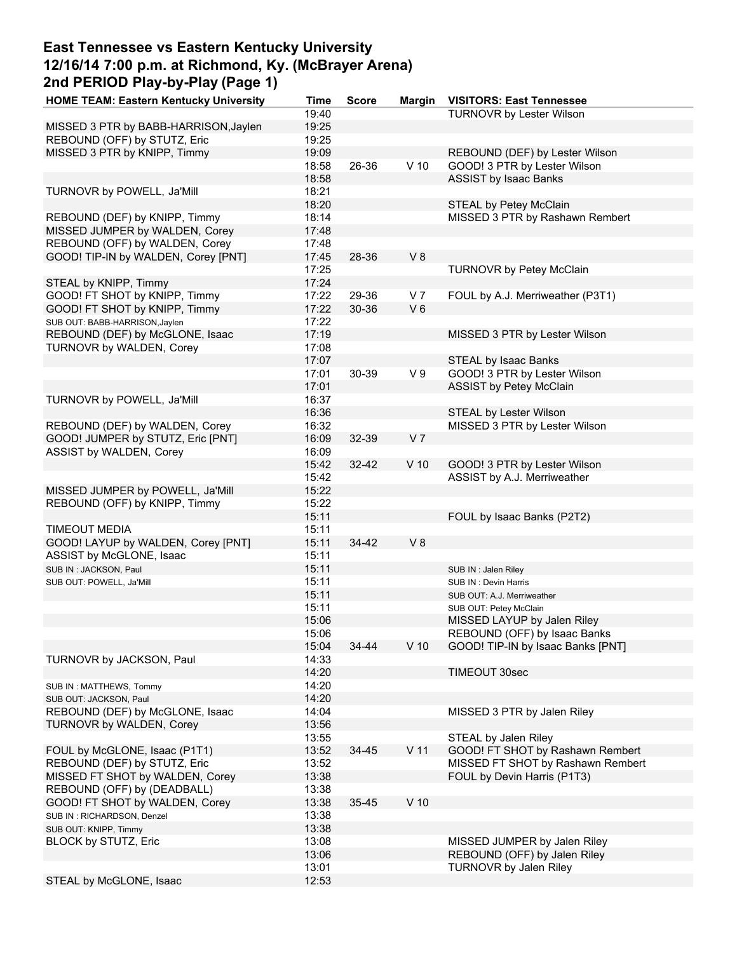# **East Tennessee vs Eastern Kentucky University 12/16/14 7:00 p.m. at Richmond, Ky. (McBrayer Arena) 2nd PERIOD Play-by-Play (Page 1)**

| <b>HOME TEAM: Eastern Kentucky University</b> | Time  | <b>Score</b> |                 | Margin VISITORS: East Tennessee   |
|-----------------------------------------------|-------|--------------|-----------------|-----------------------------------|
|                                               | 19:40 |              |                 | <b>TURNOVR by Lester Wilson</b>   |
| MISSED 3 PTR by BABB-HARRISON, Jaylen         | 19:25 |              |                 |                                   |
| REBOUND (OFF) by STUTZ, Eric                  | 19:25 |              |                 |                                   |
| MISSED 3 PTR by KNIPP, Timmy                  | 19:09 |              |                 | REBOUND (DEF) by Lester Wilson    |
|                                               | 18:58 | 26-36        | $V$ 10          | GOOD! 3 PTR by Lester Wilson      |
|                                               | 18:58 |              |                 | <b>ASSIST by Isaac Banks</b>      |
| TURNOVR by POWELL, Ja'Mill                    | 18:21 |              |                 |                                   |
|                                               | 18:20 |              |                 | STEAL by Petey McClain            |
| REBOUND (DEF) by KNIPP, Timmy                 | 18:14 |              |                 | MISSED 3 PTR by Rashawn Rembert   |
| MISSED JUMPER by WALDEN, Corey                | 17:48 |              |                 |                                   |
| REBOUND (OFF) by WALDEN, Corey                | 17:48 |              |                 |                                   |
| GOOD! TIP-IN by WALDEN, Corey [PNT]           | 17:45 | 28-36        | V8              |                                   |
|                                               | 17:25 |              |                 | TURNOVR by Petey McClain          |
| STEAL by KNIPP, Timmy                         | 17:24 |              |                 |                                   |
| GOOD! FT SHOT by KNIPP, Timmy                 | 17:22 | 29-36        | V <sub>7</sub>  | FOUL by A.J. Merriweather (P3T1)  |
| GOOD! FT SHOT by KNIPP, Timmy                 | 17:22 | 30-36        | $V_6$           |                                   |
| SUB OUT: BABB-HARRISON, Jaylen                | 17:22 |              |                 |                                   |
| REBOUND (DEF) by McGLONE, Isaac               | 17:19 |              |                 | MISSED 3 PTR by Lester Wilson     |
| TURNOVR by WALDEN, Corey                      | 17:08 |              |                 |                                   |
|                                               | 17:07 |              |                 | STEAL by Isaac Banks              |
|                                               | 17:01 | 30-39        | V <sub>9</sub>  | GOOD! 3 PTR by Lester Wilson      |
|                                               | 17:01 |              |                 | <b>ASSIST by Petey McClain</b>    |
| TURNOVR by POWELL, Ja'Mill                    | 16:37 |              |                 |                                   |
|                                               | 16:36 |              |                 | STEAL by Lester Wilson            |
| REBOUND (DEF) by WALDEN, Corey                | 16:32 |              |                 | MISSED 3 PTR by Lester Wilson     |
| GOOD! JUMPER by STUTZ, Eric [PNT]             | 16:09 | 32-39        | V <sub>7</sub>  |                                   |
| ASSIST by WALDEN, Corey                       | 16:09 |              |                 |                                   |
|                                               | 15:42 | 32-42        | $V$ 10          | GOOD! 3 PTR by Lester Wilson      |
|                                               | 15:42 |              |                 | ASSIST by A.J. Merriweather       |
| MISSED JUMPER by POWELL, Ja'Mill              | 15:22 |              |                 |                                   |
| REBOUND (OFF) by KNIPP, Timmy                 | 15:22 |              |                 |                                   |
|                                               | 15:11 |              |                 | FOUL by Isaac Banks (P2T2)        |
| <b>TIMEOUT MEDIA</b>                          | 15:11 |              |                 |                                   |
| GOOD! LAYUP by WALDEN, Corey [PNT]            | 15:11 | 34-42        | V8              |                                   |
| ASSIST by McGLONE, Isaac                      | 15:11 |              |                 |                                   |
| SUB IN: JACKSON, Paul                         | 15:11 |              |                 | SUB IN: Jalen Riley               |
| SUB OUT: POWELL, Ja'Mill                      | 15:11 |              |                 | SUB IN: Devin Harris              |
|                                               | 15:11 |              |                 | SUB OUT: A.J. Merriweather        |
|                                               | 15:11 |              |                 | SUB OUT: Petey McClain            |
|                                               | 15:06 |              |                 | MISSED LAYUP by Jalen Riley       |
|                                               | 15:06 |              |                 | REBOUND (OFF) by Isaac Banks      |
|                                               | 15:04 | 34-44        | $V$ 10          | GOOD! TIP-IN by Isaac Banks [PNT] |
| TURNOVR by JACKSON, Paul                      | 14:33 |              |                 |                                   |
|                                               | 14:20 |              |                 | TIMEOUT 30sec                     |
| SUB IN: MATTHEWS, Tommy                       | 14:20 |              |                 |                                   |
| SUB OUT: JACKSON, Paul                        | 14:20 |              |                 |                                   |
| REBOUND (DEF) by McGLONE, Isaac               | 14:04 |              |                 | MISSED 3 PTR by Jalen Riley       |
| TURNOVR by WALDEN, Corey                      | 13:56 |              |                 |                                   |
|                                               | 13:55 |              |                 | STEAL by Jalen Riley              |
| FOUL by McGLONE, Isaac (P1T1)                 | 13:52 | 34-45        | V <sub>11</sub> | GOOD! FT SHOT by Rashawn Rembert  |
| REBOUND (DEF) by STUTZ, Eric                  | 13:52 |              |                 | MISSED FT SHOT by Rashawn Rembert |
| MISSED FT SHOT by WALDEN, Corey               | 13:38 |              |                 | FOUL by Devin Harris (P1T3)       |
| REBOUND (OFF) by (DEADBALL)                   | 13:38 |              |                 |                                   |
| GOOD! FT SHOT by WALDEN, Corey                | 13:38 | 35-45        | $V$ 10          |                                   |
| SUB IN: RICHARDSON, Denzel                    | 13:38 |              |                 |                                   |
| SUB OUT: KNIPP, Timmy                         | 13:38 |              |                 |                                   |
| BLOCK by STUTZ, Eric                          | 13:08 |              |                 | MISSED JUMPER by Jalen Riley      |
|                                               | 13:06 |              |                 | REBOUND (OFF) by Jalen Riley      |
|                                               | 13:01 |              |                 | TURNOVR by Jalen Riley            |
| STEAL by McGLONE, Isaac                       | 12:53 |              |                 |                                   |
|                                               |       |              |                 |                                   |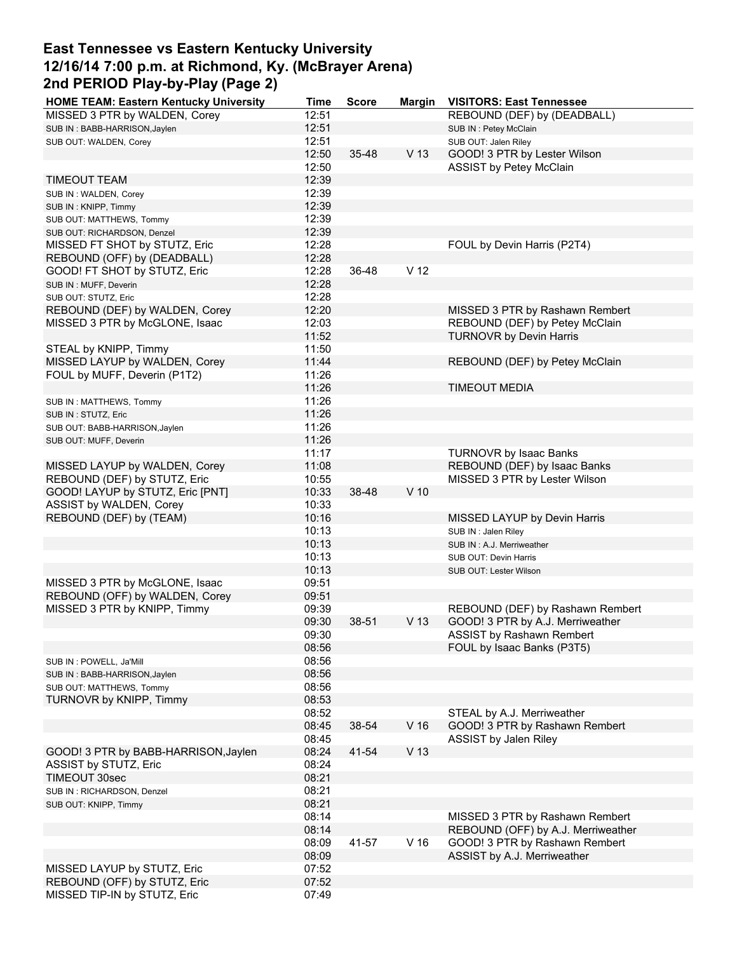## **East Tennessee vs Eastern Kentucky University 12/16/14 7:00 p.m. at Richmond, Ky. (McBrayer Arena) 2nd PERIOD Play-by-Play (Page 2)**

| <b>HOME TEAM: Eastern Kentucky University</b> | Time  | <b>Score</b> | <b>Margin</b>   | <b>VISITORS: East Tennessee</b>    |
|-----------------------------------------------|-------|--------------|-----------------|------------------------------------|
| MISSED 3 PTR by WALDEN, Corey                 | 12:51 |              |                 | REBOUND (DEF) by (DEADBALL)        |
| SUB IN: BABB-HARRISON, Jaylen                 | 12:51 |              |                 | SUB IN: Petey McClain              |
| SUB OUT: WALDEN, Corey                        | 12:51 |              |                 | SUB OUT: Jalen Riley               |
|                                               | 12:50 | 35-48        | V <sub>13</sub> | GOOD! 3 PTR by Lester Wilson       |
|                                               | 12:50 |              |                 | ASSIST by Petey McClain            |
| <b>TIMEOUT TEAM</b>                           | 12:39 |              |                 |                                    |
|                                               | 12:39 |              |                 |                                    |
| SUB IN: WALDEN, Corey                         |       |              |                 |                                    |
| SUB IN: KNIPP, Timmy                          | 12:39 |              |                 |                                    |
| SUB OUT: MATTHEWS, Tommy                      | 12:39 |              |                 |                                    |
| SUB OUT: RICHARDSON, Denzel                   | 12:39 |              |                 |                                    |
| MISSED FT SHOT by STUTZ, Eric                 | 12:28 |              |                 | FOUL by Devin Harris (P2T4)        |
| REBOUND (OFF) by (DEADBALL)                   | 12:28 |              |                 |                                    |
| GOOD! FT SHOT by STUTZ, Eric                  | 12:28 | 36-48        | V <sub>12</sub> |                                    |
| SUB IN : MUFF, Deverin                        | 12:28 |              |                 |                                    |
| SUB OUT: STUTZ, Eric                          | 12:28 |              |                 |                                    |
|                                               |       |              |                 |                                    |
| REBOUND (DEF) by WALDEN, Corey                | 12:20 |              |                 | MISSED 3 PTR by Rashawn Rembert    |
| MISSED 3 PTR by McGLONE, Isaac                | 12:03 |              |                 | REBOUND (DEF) by Petey McClain     |
|                                               | 11:52 |              |                 | <b>TURNOVR by Devin Harris</b>     |
| STEAL by KNIPP, Timmy                         | 11:50 |              |                 |                                    |
| MISSED LAYUP by WALDEN, Corey                 | 11:44 |              |                 | REBOUND (DEF) by Petey McClain     |
| FOUL by MUFF, Deverin (P1T2)                  | 11:26 |              |                 |                                    |
|                                               | 11:26 |              |                 | <b>TIMEOUT MEDIA</b>               |
| SUB IN: MATTHEWS, Tommy                       | 11:26 |              |                 |                                    |
|                                               | 11:26 |              |                 |                                    |
| SUB IN: STUTZ, Eric                           |       |              |                 |                                    |
| SUB OUT: BABB-HARRISON, Jaylen                | 11:26 |              |                 |                                    |
| SUB OUT: MUFF, Deverin                        | 11:26 |              |                 |                                    |
|                                               | 11:17 |              |                 | <b>TURNOVR by Isaac Banks</b>      |
| MISSED LAYUP by WALDEN, Corey                 | 11:08 |              |                 | REBOUND (DEF) by Isaac Banks       |
| REBOUND (DEF) by STUTZ, Eric                  | 10:55 |              |                 | MISSED 3 PTR by Lester Wilson      |
| GOOD! LAYUP by STUTZ, Eric [PNT]              | 10:33 | 38-48        | $V$ 10          |                                    |
| ASSIST by WALDEN, Corey                       | 10:33 |              |                 |                                    |
| REBOUND (DEF) by (TEAM)                       | 10:16 |              |                 | MISSED LAYUP by Devin Harris       |
|                                               |       |              |                 |                                    |
|                                               | 10:13 |              |                 | SUB IN: Jalen Riley                |
|                                               | 10:13 |              |                 | SUB IN: A.J. Merriweather          |
|                                               | 10:13 |              |                 | SUB OUT: Devin Harris              |
|                                               | 10:13 |              |                 | SUB OUT: Lester Wilson             |
| MISSED 3 PTR by McGLONE, Isaac                | 09:51 |              |                 |                                    |
| REBOUND (OFF) by WALDEN, Corey                | 09:51 |              |                 |                                    |
| MISSED 3 PTR by KNIPP, Timmy                  | 09:39 |              |                 | REBOUND (DEF) by Rashawn Rembert   |
|                                               | 09:30 | 38-51        | V <sub>13</sub> | GOOD! 3 PTR by A.J. Merriweather   |
|                                               | 09:30 |              |                 | <b>ASSIST by Rashawn Rembert</b>   |
|                                               | 08:56 |              |                 | FOUL by Isaac Banks (P3T5)         |
|                                               |       |              |                 |                                    |
| SUB IN : POWELL, Ja'Mill                      | 08:56 |              |                 |                                    |
| SUB IN: BABB-HARRISON, Jaylen                 | 08:56 |              |                 |                                    |
| SUB OUT: MATTHEWS, Tommy                      | 08:56 |              |                 |                                    |
| TURNOVR by KNIPP, Timmy                       | 08:53 |              |                 |                                    |
|                                               | 08:52 |              |                 | STEAL by A.J. Merriweather         |
|                                               | 08:45 | 38-54        | $V$ 16          | GOOD! 3 PTR by Rashawn Rembert     |
|                                               | 08:45 |              |                 | ASSIST by Jalen Riley              |
| GOOD! 3 PTR by BABB-HARRISON, Jaylen          | 08:24 | 41-54        | V <sub>13</sub> |                                    |
| ASSIST by STUTZ, Eric                         | 08:24 |              |                 |                                    |
|                                               |       |              |                 |                                    |
| TIMEOUT 30sec                                 | 08:21 |              |                 |                                    |
| SUB IN: RICHARDSON, Denzel                    | 08:21 |              |                 |                                    |
| SUB OUT: KNIPP, Timmy                         | 08:21 |              |                 |                                    |
|                                               | 08:14 |              |                 | MISSED 3 PTR by Rashawn Rembert    |
|                                               | 08:14 |              |                 | REBOUND (OFF) by A.J. Merriweather |
|                                               | 08:09 | 41-57        | V <sub>16</sub> | GOOD! 3 PTR by Rashawn Rembert     |
|                                               | 08:09 |              |                 | ASSIST by A.J. Merriweather        |
| MISSED LAYUP by STUTZ, Eric                   | 07:52 |              |                 |                                    |
| REBOUND (OFF) by STUTZ, Eric                  | 07:52 |              |                 |                                    |
| MISSED TIP-IN by STUTZ, Eric                  | 07:49 |              |                 |                                    |
|                                               |       |              |                 |                                    |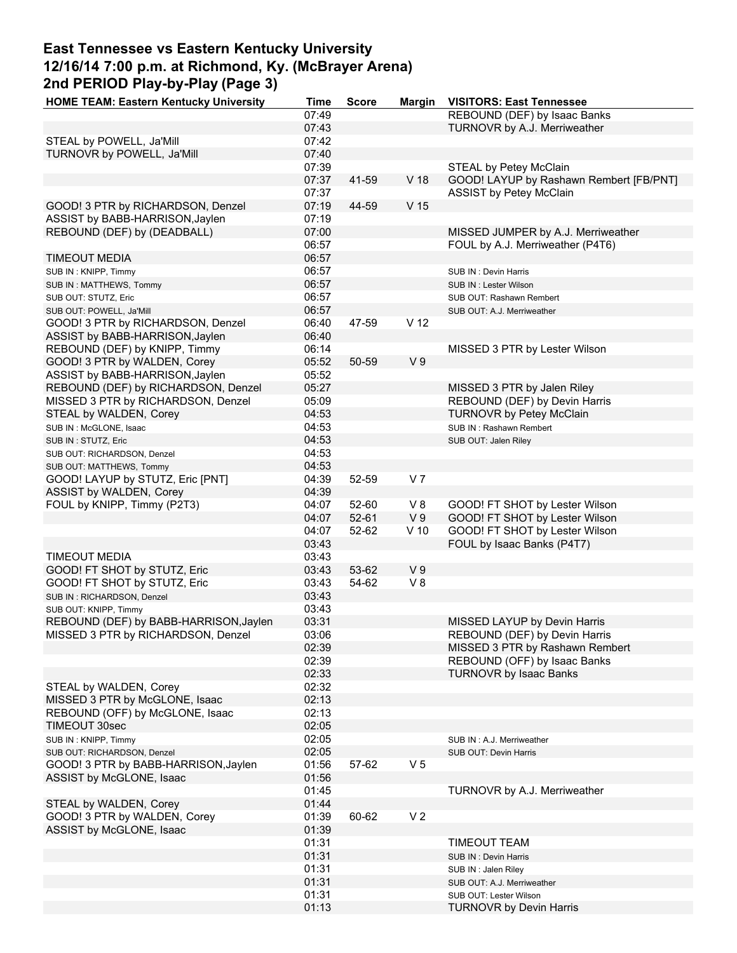### **East Tennessee vs Eastern Kentucky University 12/16/14 7:00 p.m. at Richmond, Ky. (McBrayer Arena) 2nd PERIOD Play-by-Play (Page 3) HOME TEAM: Eastern Kentucky University Time Score Margin VISITORS: East Tennessee**

| <b>HUME TEAM: Eastern Nemucky University</b> | типе  | ocore | margın          | VISITURS: East Tennessee                |
|----------------------------------------------|-------|-------|-----------------|-----------------------------------------|
|                                              | 07:49 |       |                 | REBOUND (DEF) by Isaac Banks            |
|                                              | 07:43 |       |                 | TURNOVR by A.J. Merriweather            |
| STEAL by POWELL, Ja'Mill                     | 07:42 |       |                 |                                         |
| TURNOVR by POWELL, Ja'Mill                   | 07:40 |       |                 |                                         |
|                                              | 07:39 |       |                 | STEAL by Petey McClain                  |
|                                              | 07:37 | 41-59 | V 18            | GOOD! LAYUP by Rashawn Rembert [FB/PNT] |
|                                              | 07:37 |       |                 | <b>ASSIST by Petey McClain</b>          |
| GOOD! 3 PTR by RICHARDSON, Denzel            | 07:19 | 44-59 | V <sub>15</sub> |                                         |
|                                              |       |       |                 |                                         |
| ASSIST by BABB-HARRISON, Jaylen              | 07:19 |       |                 |                                         |
| REBOUND (DEF) by (DEADBALL)                  | 07:00 |       |                 | MISSED JUMPER by A.J. Merriweather      |
|                                              | 06:57 |       |                 | FOUL by A.J. Merriweather (P4T6)        |
| <b>TIMEOUT MEDIA</b>                         | 06:57 |       |                 |                                         |
| SUB IN: KNIPP, Timmy                         | 06:57 |       |                 | SUB IN: Devin Harris                    |
| SUB IN: MATTHEWS, Tommy                      | 06:57 |       |                 | SUB IN: Lester Wilson                   |
| SUB OUT: STUTZ, Eric                         | 06:57 |       |                 | SUB OUT: Rashawn Rembert                |
| SUB OUT: POWELL, Ja'Mill                     | 06:57 |       |                 | SUB OUT: A.J. Merriweather              |
| GOOD! 3 PTR by RICHARDSON, Denzel            | 06:40 | 47-59 | V <sub>12</sub> |                                         |
|                                              |       |       |                 |                                         |
| ASSIST by BABB-HARRISON, Jaylen              | 06:40 |       |                 |                                         |
| REBOUND (DEF) by KNIPP, Timmy                | 06:14 |       |                 | MISSED 3 PTR by Lester Wilson           |
| GOOD! 3 PTR by WALDEN, Corey                 | 05:52 | 50-59 | V <sub>9</sub>  |                                         |
| ASSIST by BABB-HARRISON, Jaylen              | 05:52 |       |                 |                                         |
| REBOUND (DEF) by RICHARDSON, Denzel          | 05:27 |       |                 | MISSED 3 PTR by Jalen Riley             |
| MISSED 3 PTR by RICHARDSON, Denzel           | 05:09 |       |                 | REBOUND (DEF) by Devin Harris           |
| STEAL by WALDEN, Corey                       | 04:53 |       |                 | <b>TURNOVR by Petey McClain</b>         |
| SUB IN : McGLONE, Isaac                      | 04:53 |       |                 | SUB IN: Rashawn Rembert                 |
|                                              |       |       |                 |                                         |
| SUB IN: STUTZ, Eric                          | 04:53 |       |                 | SUB OUT: Jalen Riley                    |
| SUB OUT: RICHARDSON, Denzel                  | 04:53 |       |                 |                                         |
| SUB OUT: MATTHEWS, Tommy                     | 04:53 |       |                 |                                         |
| GOOD! LAYUP by STUTZ, Eric [PNT]             | 04:39 | 52-59 | V <sub>7</sub>  |                                         |
| ASSIST by WALDEN, Corey                      | 04:39 |       |                 |                                         |
| FOUL by KNIPP, Timmy (P2T3)                  | 04:07 | 52-60 | V8              | GOOD! FT SHOT by Lester Wilson          |
|                                              | 04:07 | 52-61 | V <sub>9</sub>  | GOOD! FT SHOT by Lester Wilson          |
|                                              | 04:07 | 52-62 | $V$ 10          | GOOD! FT SHOT by Lester Wilson          |
|                                              | 03:43 |       |                 | FOUL by Isaac Banks (P4T7)              |
| <b>TIMEOUT MEDIA</b>                         | 03:43 |       |                 |                                         |
|                                              |       |       |                 |                                         |
| GOOD! FT SHOT by STUTZ, Eric                 | 03:43 | 53-62 | V <sub>9</sub>  |                                         |
| GOOD! FT SHOT by STUTZ, Eric                 | 03:43 | 54-62 | V8              |                                         |
| SUB IN: RICHARDSON, Denzel                   | 03:43 |       |                 |                                         |
| SUB OUT: KNIPP, Timmy                        | 03:43 |       |                 |                                         |
| REBOUND (DEF) by BABB-HARRISON, Jaylen       | 03:31 |       |                 | MISSED LAYUP by Devin Harris            |
| MISSED 3 PTR by RICHARDSON, Denzel           | 03:06 |       |                 | REBOUND (DEF) by Devin Harris           |
|                                              | 02:39 |       |                 | MISSED 3 PTR by Rashawn Rembert         |
|                                              | 02:39 |       |                 | REBOUND (OFF) by Isaac Banks            |
|                                              | 02:33 |       |                 | <b>TURNOVR by Isaac Banks</b>           |
|                                              |       |       |                 |                                         |
| STEAL by WALDEN, Corey                       | 02:32 |       |                 |                                         |
| MISSED 3 PTR by McGLONE, Isaac               | 02:13 |       |                 |                                         |
| REBOUND (OFF) by McGLONE, Isaac              | 02:13 |       |                 |                                         |
| TIMEOUT 30sec                                | 02:05 |       |                 |                                         |
| SUB IN: KNIPP, Timmy                         | 02:05 |       |                 | SUB IN: A.J. Merriweather               |
| SUB OUT: RICHARDSON, Denzel                  | 02:05 |       |                 | SUB OUT: Devin Harris                   |
| GOOD! 3 PTR by BABB-HARRISON, Jaylen         | 01:56 | 57-62 | V <sub>5</sub>  |                                         |
| ASSIST by McGLONE, Isaac                     | 01:56 |       |                 |                                         |
|                                              | 01:45 |       |                 | TURNOVR by A.J. Merriweather            |
| STEAL by WALDEN, Corey                       | 01:44 |       |                 |                                         |
|                                              |       |       |                 |                                         |
| GOOD! 3 PTR by WALDEN, Corey                 | 01:39 | 60-62 | V <sub>2</sub>  |                                         |
| ASSIST by McGLONE, Isaac                     | 01:39 |       |                 |                                         |
|                                              | 01:31 |       |                 | TIMEOUT TEAM                            |
|                                              | 01:31 |       |                 | SUB IN: Devin Harris                    |
|                                              | 01:31 |       |                 | SUB IN: Jalen Riley                     |
|                                              | 01:31 |       |                 | SUB OUT: A.J. Merriweather              |
|                                              | 01:31 |       |                 | SUB OUT: Lester Wilson                  |
|                                              | 01:13 |       |                 | <b>TURNOVR by Devin Harris</b>          |
|                                              |       |       |                 |                                         |